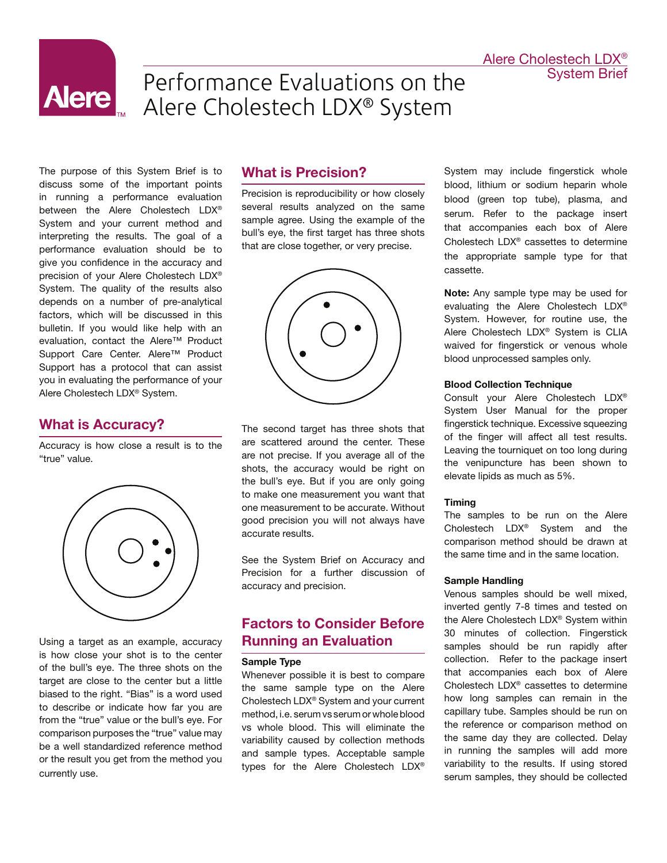

# Performance Evaluations on the Alere Cholestech LDX® System

The purpose of this System Brief is to discuss some of the important points in running a performance evaluation between the Alere Cholestech LDX® System and your current method and interpreting the results. The goal of a performance evaluation should be to give you confidence in the accuracy and precision of your Alere Cholestech LDX® System. The quality of the results also depends on a number of pre-analytical factors, which will be discussed in this bulletin. If you would like help with an evaluation, contact the Alere™ Product Support Care Center. Alere™ Product Support has a protocol that can assist you in evaluating the performance of your Alere Cholestech LDX® System.

# What is Accuracy?

Accuracy is how close a result is to the "true" value.



Using a target as an example, accuracy is how close your shot is to the center of the bull's eye. The three shots on the target are close to the center but a little biased to the right. "Bias" is a word used to describe or indicate how far you are from the "true" value or the bull's eye. For comparison purposes the "true" value may be a well standardized reference method or the result you get from the method you currently use.

### What is Precision?

Precision is reproducibility or how closely several results analyzed on the same sample agree. Using the example of the bull's eye, the first target has three shots that are close together, or very precise.



The second target has three shots that are scattered around the center. These are not precise. If you average all of the shots, the accuracy would be right on the bull's eye. But if you are only going to make one measurement you want that one measurement to be accurate. Without good precision you will not always have accurate results.

See the System Brief on Accuracy and Precision for a further discussion of accuracy and precision.

## Factors to Consider Before Running an Evaluation

#### Sample Type

Whenever possible it is best to compare the same sample type on the Alere Cholestech LDX® System and your current method, i.e. serum vs serum or whole blood vs whole blood. This will eliminate the variability caused by collection methods and sample types. Acceptable sample types for the Alere Cholestech LDX®

System may include fingerstick whole blood, lithium or sodium heparin whole blood (green top tube), plasma, and serum. Refer to the package insert that accompanies each box of Alere Cholestech LDX® cassettes to determine the appropriate sample type for that cassette.

Note: Any sample type may be used for evaluating the Alere Cholestech LDX® System. However, for routine use, the Alere Cholestech LDX® System is CLIA waived for fingerstick or venous whole blood unprocessed samples only.

#### Blood Collection Technique

Consult your Alere Cholestech LDX® System User Manual for the proper fingerstick technique. Excessive squeezing of the finger will affect all test results. Leaving the tourniquet on too long during the venipuncture has been shown to elevate lipids as much as 5%.

#### Timing

The samples to be run on the Alere Cholestech LDX® System and the comparison method should be drawn at the same time and in the same location.

#### Sample Handling

Venous samples should be well mixed, inverted gently 7-8 times and tested on the Alere Cholestech LDX® System within 30 minutes of collection. Fingerstick samples should be run rapidly after collection. Refer to the package insert that accompanies each box of Alere Cholestech LDX® cassettes to determine how long samples can remain in the capillary tube. Samples should be run on the reference or comparison method on the same day they are collected. Delay in running the samples will add more variability to the results. If using stored serum samples, they should be collected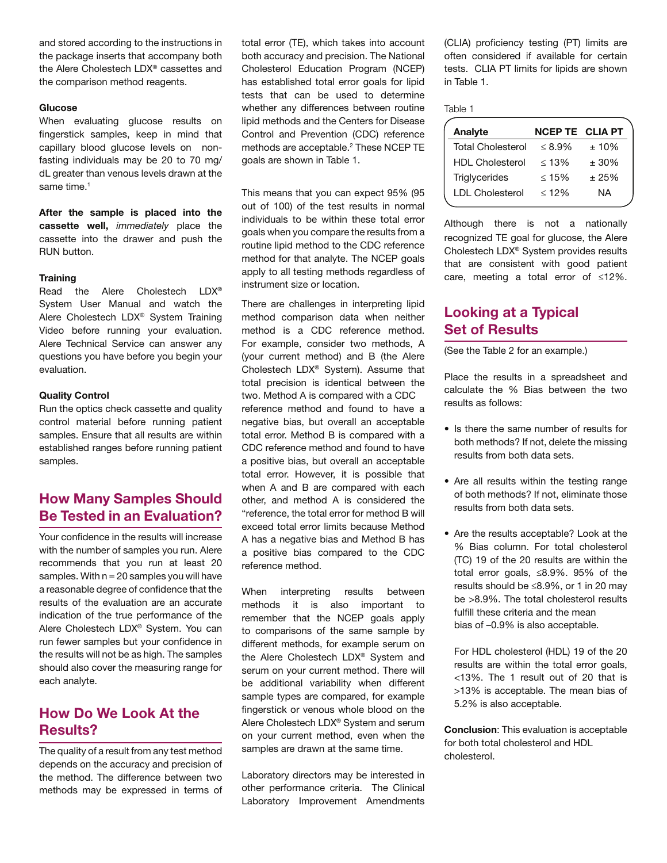and stored according to the instructions in the package inserts that accompany both the Alere Cholestech LDX® cassettes and the comparison method reagents.

#### Glucose

When evaluating glucose results on fingerstick samples, keep in mind that capillary blood glucose levels on nonfasting individuals may be 20 to 70 mg/ dL greater than venous levels drawn at the same time.<sup>1</sup>

After the sample is placed into the cassette well, *immediately* place the cassette into the drawer and push the RUN button.

#### **Training**

Read the Alere Cholestech LDX® System User Manual and watch the Alere Cholestech LDX® System Training Video before running your evaluation. Alere Technical Service can answer any questions you have before you begin your evaluation.

#### Quality Control

Run the optics check cassette and quality control material before running patient samples. Ensure that all results are within established ranges before running patient samples.

### How Many Samples Should Be Tested in an Evaluation?

Your confidence in the results will increase with the number of samples you run. Alere recommends that you run at least 20 samples. With  $n = 20$  samples you will have a reasonable degree of confidence that the results of the evaluation are an accurate indication of the true performance of the Alere Cholestech LDX® System. You can run fewer samples but your confidence in the results will not be as high. The samples should also cover the measuring range for each analyte.

# How Do We Look At the Results?

The quality of a result from any test method depends on the accuracy and precision of the method. The difference between two methods may be expressed in terms of

total error (TE), which takes into account both accuracy and precision. The National Cholesterol Education Program (NCEP) has established total error goals for lipid tests that can be used to determine whether any differences between routine lipid methods and the Centers for Disease Control and Prevention (CDC) reference methods are acceptable.<sup>2</sup> These NCEP TE goals are shown in Table 1.

This means that you can expect 95% (95 out of 100) of the test results in normal individuals to be within these total error goals when you compare the results from a routine lipid method to the CDC reference method for that analyte. The NCEP goals apply to all testing methods regardless of instrument size or location.

There are challenges in interpreting lipid method comparison data when neither method is a CDC reference method. For example, consider two methods, A (your current method) and B (the Alere Cholestech LDX® System). Assume that total precision is identical between the two. Method A is compared with a CDC reference method and found to have a negative bias, but overall an acceptable total error. Method B is compared with a CDC reference method and found to have a positive bias, but overall an acceptable total error. However, it is possible that when A and B are compared with each other, and method A is considered the "reference, the total error for method B will exceed total error limits because Method A has a negative bias and Method B has a positive bias compared to the CDC reference method.

When interpreting results between methods it is also important to remember that the NCEP goals apply to comparisons of the same sample by different methods, for example serum on the Alere Cholestech LDX® System and serum on your current method. There will be additional variability when different sample types are compared, for example fingerstick or venous whole blood on the Alere Cholestech LDX® System and serum on your current method, even when the samples are drawn at the same time.

Laboratory directors may be interested in other performance criteria. The Clinical Laboratory Improvement Amendments (CLIA) proficiency testing (PT) limits are often considered if available for certain tests. CLIA PT limits for lipids are shown in Table 1.

Table 1

| Analyte                  | <b>NCEP TE CLIA PT</b> |       |  |
|--------------------------|------------------------|-------|--|
| <b>Total Cholesterol</b> | $\leq 8.9\%$           | ±10%  |  |
| <b>HDL Cholesterol</b>   | $\leq 13\%$            | ± 30% |  |
| Triglycerides            | $\leq 15\%$            | ± 25% |  |
| <b>LDL Cholesterol</b>   | $\leq 12\%$            | ΝA    |  |
|                          |                        |       |  |

Although there is not a nationally recognized TE goal for glucose, the Alere Cholestech LDX® System provides results that are consistent with good patient care, meeting a total error of ≤12%.

### Looking at a Typical Set of Results

(See the Table 2 for an example.)

Place the results in a spreadsheet and calculate the % Bias between the two results as follows:

- Is there the same number of results for both methods? If not, delete the missing results from both data sets.
- Are all results within the testing range of both methods? If not, eliminate those results from both data sets.
- Are the results acceptable? Look at the % Bias column. For total cholesterol (TC) 19 of the 20 results are within the total error goals, ≤8.9%. 95% of the results should be ≤8.9%, or 1 in 20 may be >8.9%. The total cholesterol results fulfill these criteria and the mean bias of –0.9% is also acceptable.

For HDL cholesterol (HDL) 19 of the 20 results are within the total error goals, <13%. The 1 result out of 20 that is >13% is acceptable. The mean bias of 5.2% is also acceptable.

Conclusion: This evaluation is acceptable for both total cholesterol and HDL cholesterol.